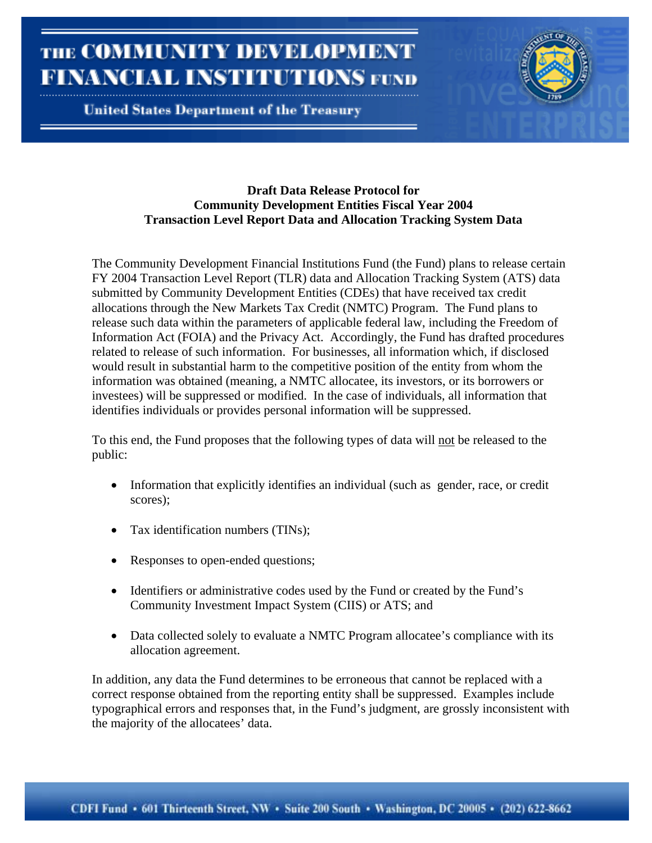**United States Department of the Treasury** 

### **Draft Data Release Protocol for Community Development Entities Fiscal Year 2004 Transaction Level Report Data and Allocation Tracking System Data**

The Community Development Financial Institutions Fund (the Fund) plans to release certain FY 2004 Transaction Level Report (TLR) data and Allocation Tracking System (ATS) data submitted by Community Development Entities (CDEs) that have received tax credit allocations through the New Markets Tax Credit (NMTC) Program. The Fund plans to release such data within the parameters of applicable federal law, including the Freedom of Information Act (FOIA) and the Privacy Act. Accordingly, the Fund has drafted procedures related to release of such information. For businesses, all information which, if disclosed would result in substantial harm to the competitive position of the entity from whom the information was obtained (meaning, a NMTC allocatee, its investors, or its borrowers or investees) will be suppressed or modified. In the case of individuals, all information that identifies individuals or provides personal information will be suppressed.

To this end, the Fund proposes that the following types of data will not be released to the public:

- Information that explicitly identifies an individual (such as gender, race, or credit scores);
- Tax identification numbers (TINs);
- Responses to open-ended questions;
- Identifiers or administrative codes used by the Fund or created by the Fund's Community Investment Impact System (CIIS) or ATS; and
- Data collected solely to evaluate a NMTC Program allocatee's compliance with its allocation agreement.

In addition, any data the Fund determines to be erroneous that cannot be replaced with a correct response obtained from the reporting entity shall be suppressed. Examples include typographical errors and responses that, in the Fund's judgment, are grossly inconsistent with the majority of the allocatees' data.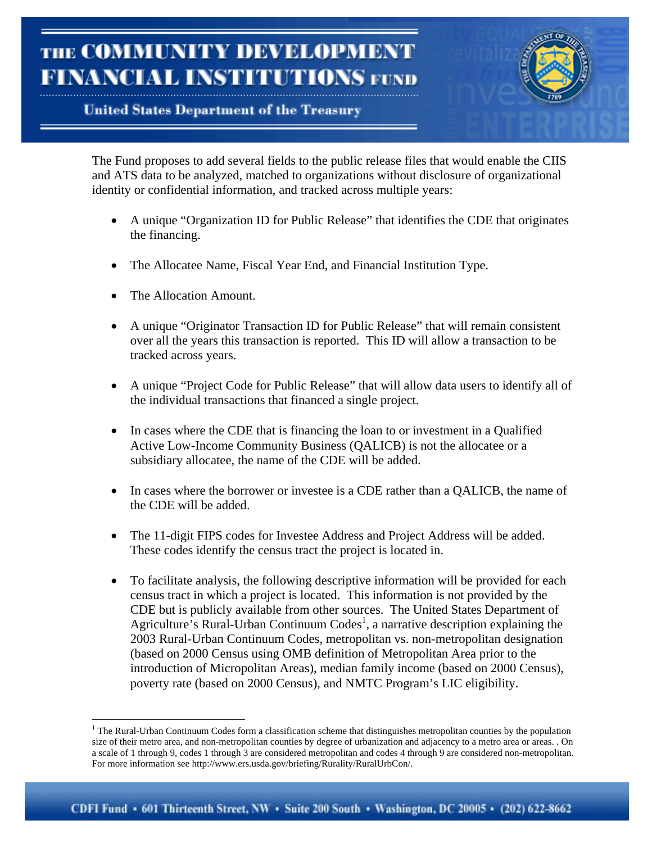# **United States Department of the Treasury**



The Fund proposes to add several fields to the public release files that would enable the CIIS and ATS data to be analyzed, matched to organizations without disclosure of organizational identity or confidential information, and tracked across multiple years:

- A unique "Organization ID for Public Release" that identifies the CDE that originates the financing.
- The Allocatee Name, Fiscal Year End, and Financial Institution Type.
- The Allocation Amount.

 $\overline{a}$ 

- A unique "Originator Transaction ID for Public Release" that will remain consistent over all the years this transaction is reported. This ID will allow a transaction to be tracked across years.
- A unique "Project Code for Public Release" that will allow data users to identify all of the individual transactions that financed a single project.
- In cases where the CDE that is financing the loan to or investment in a Qualified Active Low-Income Community Business (QALICB) is not the allocatee or a subsidiary allocatee, the name of the CDE will be added.
- In cases where the borrower or investee is a CDE rather than a QALICB, the name of the CDE will be added.
- The 11-digit FIPS codes for Investee Address and Project Address will be added. These codes identify the census tract the project is located in.
- To facilitate analysis, the following descriptive information will be provided for each census tract in which a project is located. This information is not provided by the CDE but is publicly available from other sources. The United States Department of Agriculture's Rural-Urban Continuum Codes<sup>1</sup>, a narrative description explaining the 2003 Rural-Urban Continuum Codes, metropolitan vs. non-metropolitan designation (based on 2000 Census using OMB definition of Metropolitan Area prior to the introduction of Micropolitan Areas), median family income (based on 2000 Census), poverty rate (based on 2000 Census), and NMTC Program's LIC eligibility.

<sup>&</sup>lt;sup>1</sup> The Rural-Urban Continuum Codes form a classification scheme that distinguishes metropolitan counties by the population size of their metro area, and non-metropolitan counties by degree of urbanization and adjacency to a metro area or areas. . On a scale of 1 through 9, codes 1 through 3 are considered metropolitan and codes 4 through 9 are considered non-metropolitan. For more information see http://www.ers.usda.gov/briefing/Rurality/RuralUrbCon/.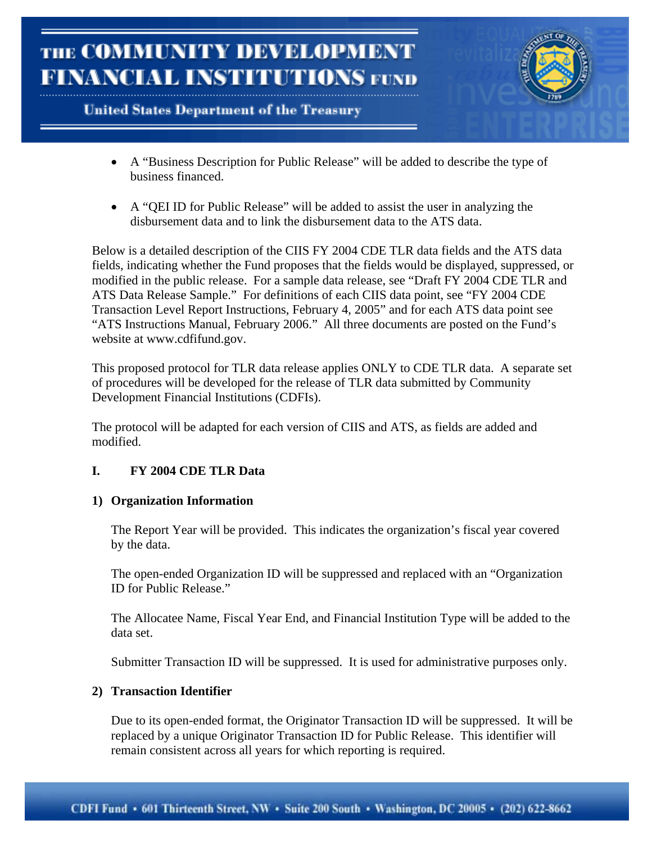



- A "Business Description for Public Release" will be added to describe the type of business financed.
- A "QEI ID for Public Release" will be added to assist the user in analyzing the disbursement data and to link the disbursement data to the ATS data.

Below is a detailed description of the CIIS FY 2004 CDE TLR data fields and the ATS data fields, indicating whether the Fund proposes that the fields would be displayed, suppressed, or modified in the public release. For a sample data release, see "Draft FY 2004 CDE TLR and ATS Data Release Sample." For definitions of each CIIS data point, see "FY 2004 CDE Transaction Level Report Instructions, February 4, 2005" and for each ATS data point see "ATS Instructions Manual, February 2006." All three documents are posted on the Fund's website at www.cdfifund.gov.

This proposed protocol for TLR data release applies ONLY to CDE TLR data. A separate set of procedures will be developed for the release of TLR data submitted by Community Development Financial Institutions (CDFIs).

The protocol will be adapted for each version of CIIS and ATS, as fields are added and modified.

# **I. FY 2004 CDE TLR Data**

### **1) Organization Information**

The Report Year will be provided. This indicates the organization's fiscal year covered by the data.

The open-ended Organization ID will be suppressed and replaced with an "Organization ID for Public Release."

The Allocatee Name, Fiscal Year End, and Financial Institution Type will be added to the data set.

Submitter Transaction ID will be suppressed. It is used for administrative purposes only.

### **2) Transaction Identifier**

Due to its open-ended format, the Originator Transaction ID will be suppressed. It will be replaced by a unique Originator Transaction ID for Public Release. This identifier will remain consistent across all years for which reporting is required.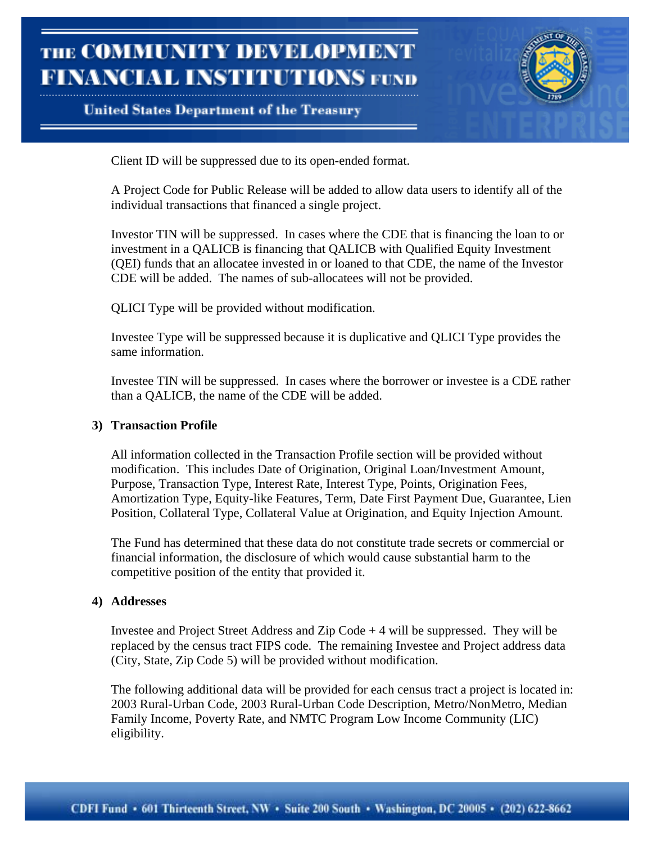## **United States Department of the Treasury**



Client ID will be suppressed due to its open-ended format.

A Project Code for Public Release will be added to allow data users to identify all of the individual transactions that financed a single project.

Investor TIN will be suppressed. In cases where the CDE that is financing the loan to or investment in a QALICB is financing that QALICB with Qualified Equity Investment (QEI) funds that an allocatee invested in or loaned to that CDE, the name of the Investor CDE will be added. The names of sub-allocatees will not be provided.

QLICI Type will be provided without modification.

Investee Type will be suppressed because it is duplicative and QLICI Type provides the same information.

Investee TIN will be suppressed. In cases where the borrower or investee is a CDE rather than a QALICB, the name of the CDE will be added.

#### **3) Transaction Profile**

All information collected in the Transaction Profile section will be provided without modification. This includes Date of Origination, Original Loan/Investment Amount, Purpose, Transaction Type, Interest Rate, Interest Type, Points, Origination Fees, Amortization Type, Equity-like Features, Term, Date First Payment Due, Guarantee, Lien Position, Collateral Type, Collateral Value at Origination, and Equity Injection Amount.

The Fund has determined that these data do not constitute trade secrets or commercial or financial information, the disclosure of which would cause substantial harm to the competitive position of the entity that provided it.

#### **4) Addresses**

Investee and Project Street Address and Zip Code + 4 will be suppressed. They will be replaced by the census tract FIPS code. The remaining Investee and Project address data (City, State, Zip Code 5) will be provided without modification.

The following additional data will be provided for each census tract a project is located in: 2003 Rural-Urban Code, 2003 Rural-Urban Code Description, Metro/NonMetro, Median Family Income, Poverty Rate, and NMTC Program Low Income Community (LIC) eligibility.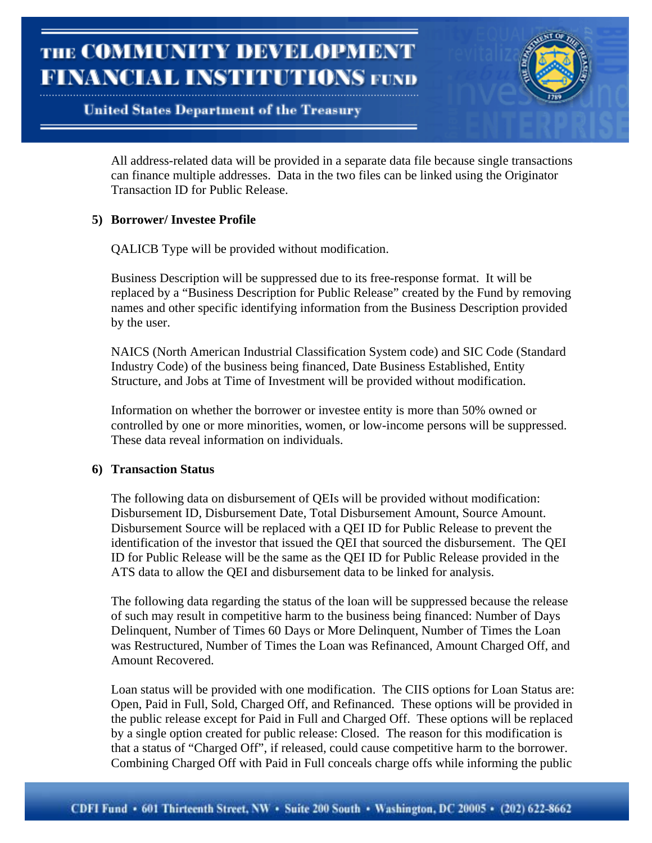### **United States Department of the Treasury**



All address-related data will be provided in a separate data file because single transactions can finance multiple addresses. Data in the two files can be linked using the Originator Transaction ID for Public Release.

### **5) Borrower/ Investee Profile**

QALICB Type will be provided without modification.

Business Description will be suppressed due to its free-response format. It will be replaced by a "Business Description for Public Release" created by the Fund by removing names and other specific identifying information from the Business Description provided by the user.

NAICS (North American Industrial Classification System code) and SIC Code (Standard Industry Code) of the business being financed, Date Business Established, Entity Structure, and Jobs at Time of Investment will be provided without modification.

Information on whether the borrower or investee entity is more than 50% owned or controlled by one or more minorities, women, or low-income persons will be suppressed. These data reveal information on individuals.

#### **6) Transaction Status**

The following data on disbursement of QEIs will be provided without modification: Disbursement ID, Disbursement Date, Total Disbursement Amount, Source Amount. Disbursement Source will be replaced with a QEI ID for Public Release to prevent the identification of the investor that issued the QEI that sourced the disbursement. The QEI ID for Public Release will be the same as the QEI ID for Public Release provided in the ATS data to allow the QEI and disbursement data to be linked for analysis.

The following data regarding the status of the loan will be suppressed because the release of such may result in competitive harm to the business being financed: Number of Days Delinquent, Number of Times 60 Days or More Delinquent, Number of Times the Loan was Restructured, Number of Times the Loan was Refinanced, Amount Charged Off, and Amount Recovered.

Loan status will be provided with one modification. The CIIS options for Loan Status are: Open, Paid in Full, Sold, Charged Off, and Refinanced. These options will be provided in the public release except for Paid in Full and Charged Off. These options will be replaced by a single option created for public release: Closed. The reason for this modification is that a status of "Charged Off", if released, could cause competitive harm to the borrower. Combining Charged Off with Paid in Full conceals charge offs while informing the public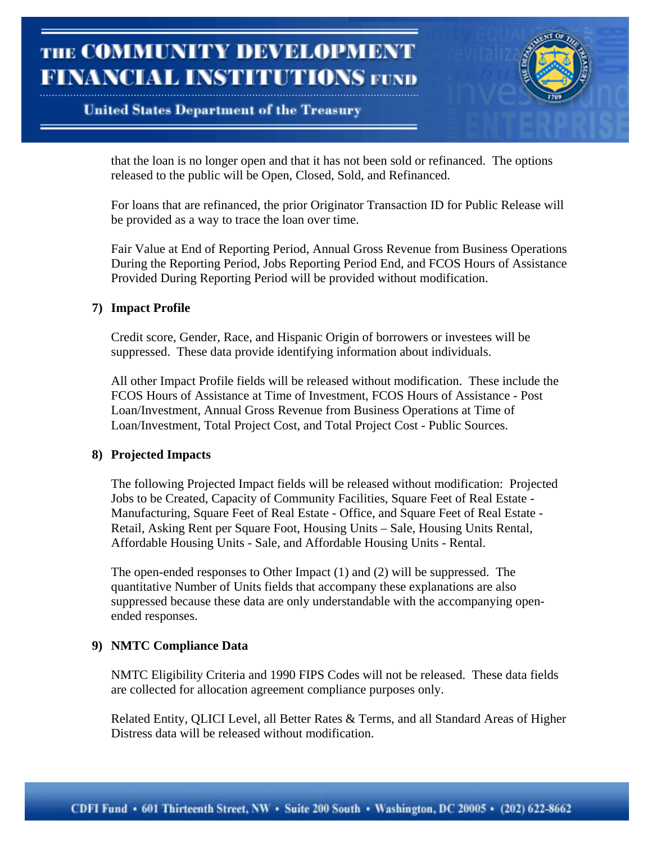## **United States Department of the Treasury**



that the loan is no longer open and that it has not been sold or refinanced. The options released to the public will be Open, Closed, Sold, and Refinanced.

For loans that are refinanced, the prior Originator Transaction ID for Public Release will be provided as a way to trace the loan over time.

Fair Value at End of Reporting Period, Annual Gross Revenue from Business Operations During the Reporting Period, Jobs Reporting Period End, and FCOS Hours of Assistance Provided During Reporting Period will be provided without modification.

#### **7) Impact Profile**

Credit score, Gender, Race, and Hispanic Origin of borrowers or investees will be suppressed. These data provide identifying information about individuals.

All other Impact Profile fields will be released without modification. These include the FCOS Hours of Assistance at Time of Investment, FCOS Hours of Assistance - Post Loan/Investment, Annual Gross Revenue from Business Operations at Time of Loan/Investment, Total Project Cost, and Total Project Cost - Public Sources.

#### **8) Projected Impacts**

The following Projected Impact fields will be released without modification: Projected Jobs to be Created, Capacity of Community Facilities, Square Feet of Real Estate - Manufacturing, Square Feet of Real Estate - Office, and Square Feet of Real Estate - Retail, Asking Rent per Square Foot, Housing Units – Sale, Housing Units Rental, Affordable Housing Units - Sale, and Affordable Housing Units - Rental.

The open-ended responses to Other Impact (1) and (2) will be suppressed. The quantitative Number of Units fields that accompany these explanations are also suppressed because these data are only understandable with the accompanying openended responses.

### **9) NMTC Compliance Data**

NMTC Eligibility Criteria and 1990 FIPS Codes will not be released. These data fields are collected for allocation agreement compliance purposes only.

Related Entity, QLICI Level, all Better Rates & Terms, and all Standard Areas of Higher Distress data will be released without modification.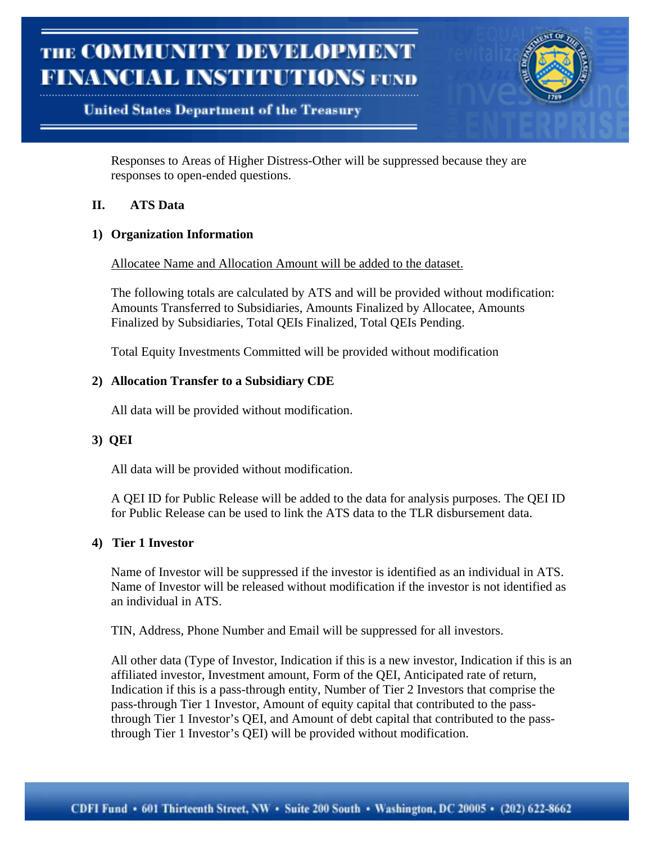# **United States Department of the Treasury**



Responses to Areas of Higher Distress-Other will be suppressed because they are responses to open-ended questions.

### **II. ATS Data**

### **1) Organization Information**

Allocatee Name and Allocation Amount will be added to the dataset.

The following totals are calculated by ATS and will be provided without modification: Amounts Transferred to Subsidiaries, Amounts Finalized by Allocatee, Amounts Finalized by Subsidiaries, Total QEIs Finalized, Total QEIs Pending.

Total Equity Investments Committed will be provided without modification

### **2) Allocation Transfer to a Subsidiary CDE**

All data will be provided without modification.

### **3) QEI**

All data will be provided without modification.

A QEI ID for Public Release will be added to the data for analysis purposes. The QEI ID for Public Release can be used to link the ATS data to the TLR disbursement data.

### **4) Tier 1 Investor**

Name of Investor will be suppressed if the investor is identified as an individual in ATS. Name of Investor will be released without modification if the investor is not identified as an individual in ATS.

TIN, Address, Phone Number and Email will be suppressed for all investors.

All other data (Type of Investor, Indication if this is a new investor, Indication if this is an affiliated investor, Investment amount, Form of the QEI, Anticipated rate of return, Indication if this is a pass-through entity, Number of Tier 2 Investors that comprise the pass-through Tier 1 Investor, Amount of equity capital that contributed to the passthrough Tier 1 Investor's QEI, and Amount of debt capital that contributed to the passthrough Tier 1 Investor's QEI) will be provided without modification.